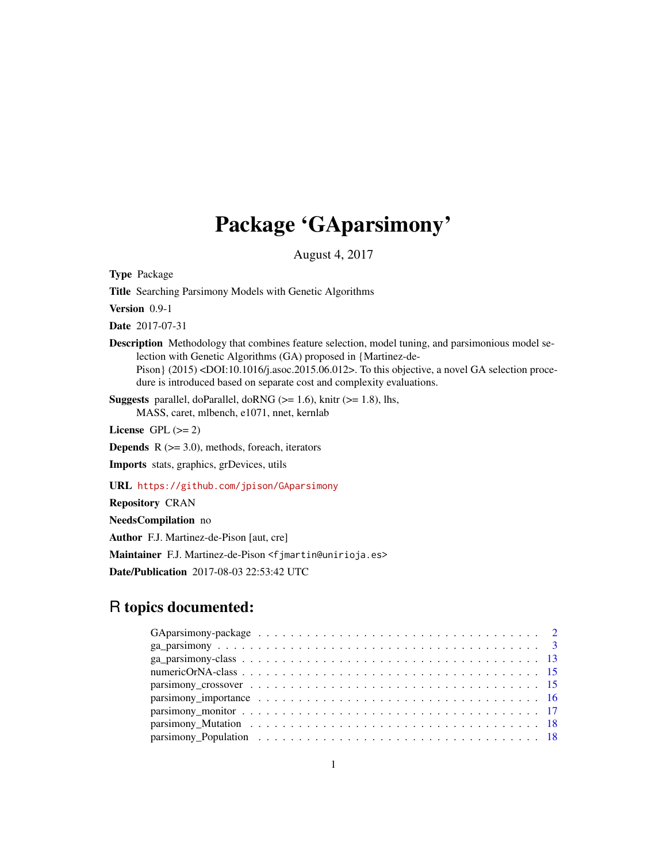# Package 'GAparsimony'

August 4, 2017

<span id="page-0-0"></span>Type Package

Title Searching Parsimony Models with Genetic Algorithms

Version 0.9-1

Date 2017-07-31

Description Methodology that combines feature selection, model tuning, and parsimonious model selection with Genetic Algorithms (GA) proposed in {Martinez-de-Pison} (2015) <DOI:10.1016/j.asoc.2015.06.012>. To this objective, a novel GA selection procedure is introduced based on separate cost and complexity evaluations.

**Suggests** parallel, doParallel, doRNG  $(>= 1.6)$ , knitr  $(>= 1.8)$ , lhs, MASS, caret, mlbench, e1071, nnet, kernlab

License GPL  $(>= 2)$ 

**Depends**  $R$  ( $>= 3.0$ ), methods, foreach, iterators

Imports stats, graphics, grDevices, utils

URL <https://github.com/jpison/GAparsimony>

Repository CRAN

NeedsCompilation no Author F.J. Martinez-de-Pison [aut, cre] Maintainer F.J. Martinez-de-Pison <fjmartin@unirioja.es> Date/Publication 2017-08-03 22:53:42 UTC

# R topics documented:

| parsimony_Population $\ldots \ldots \ldots \ldots \ldots \ldots \ldots \ldots \ldots \ldots \ldots \ldots$ |  |  |  |  |  |  |  |  |  |  |  |  |  |  |  |  |  |  |
|------------------------------------------------------------------------------------------------------------|--|--|--|--|--|--|--|--|--|--|--|--|--|--|--|--|--|--|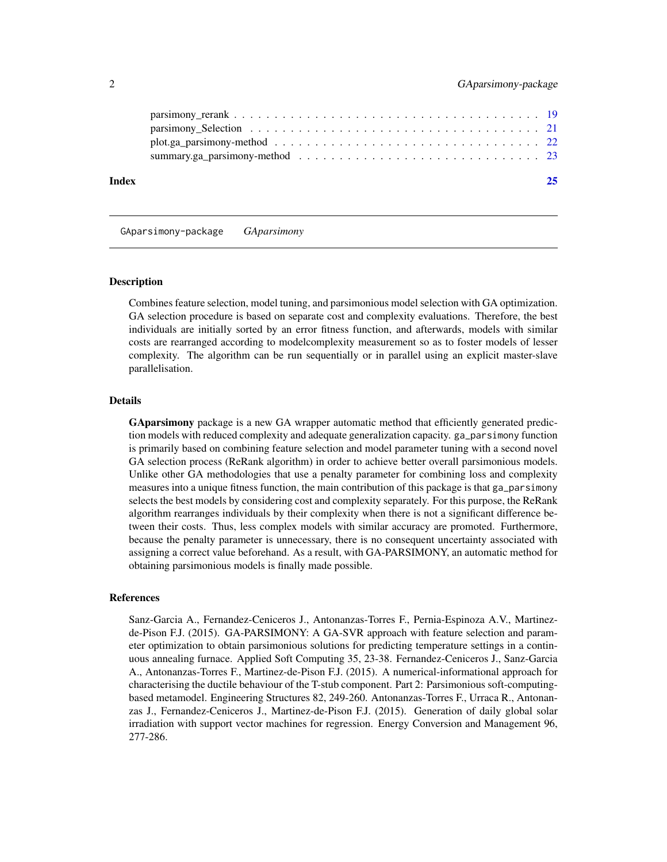<span id="page-1-0"></span>

| Index |  |
|-------|--|
|       |  |
|       |  |
|       |  |
|       |  |
|       |  |

GAparsimony-package *GAparsimony*

#### Description

Combines feature selection, model tuning, and parsimonious model selection with GA optimization. GA selection procedure is based on separate cost and complexity evaluations. Therefore, the best individuals are initially sorted by an error fitness function, and afterwards, models with similar costs are rearranged according to modelcomplexity measurement so as to foster models of lesser complexity. The algorithm can be run sequentially or in parallel using an explicit master-slave parallelisation.

# Details

GAparsimony package is a new GA wrapper automatic method that efficiently generated prediction models with reduced complexity and adequate generalization capacity. ga\_parsimony function is primarily based on combining feature selection and model parameter tuning with a second novel GA selection process (ReRank algorithm) in order to achieve better overall parsimonious models. Unlike other GA methodologies that use a penalty parameter for combining loss and complexity measures into a unique fitness function, the main contribution of this package is that ga\_parsimony selects the best models by considering cost and complexity separately. For this purpose, the ReRank algorithm rearranges individuals by their complexity when there is not a significant difference between their costs. Thus, less complex models with similar accuracy are promoted. Furthermore, because the penalty parameter is unnecessary, there is no consequent uncertainty associated with assigning a correct value beforehand. As a result, with GA-PARSIMONY, an automatic method for obtaining parsimonious models is finally made possible.

#### References

Sanz-Garcia A., Fernandez-Ceniceros J., Antonanzas-Torres F., Pernia-Espinoza A.V., Martinezde-Pison F.J. (2015). GA-PARSIMONY: A GA-SVR approach with feature selection and parameter optimization to obtain parsimonious solutions for predicting temperature settings in a continuous annealing furnace. Applied Soft Computing 35, 23-38. Fernandez-Ceniceros J., Sanz-Garcia A., Antonanzas-Torres F., Martinez-de-Pison F.J. (2015). A numerical-informational approach for characterising the ductile behaviour of the T-stub component. Part 2: Parsimonious soft-computingbased metamodel. Engineering Structures 82, 249-260. Antonanzas-Torres F., Urraca R., Antonanzas J., Fernandez-Ceniceros J., Martinez-de-Pison F.J. (2015). Generation of daily global solar irradiation with support vector machines for regression. Energy Conversion and Management 96, 277-286.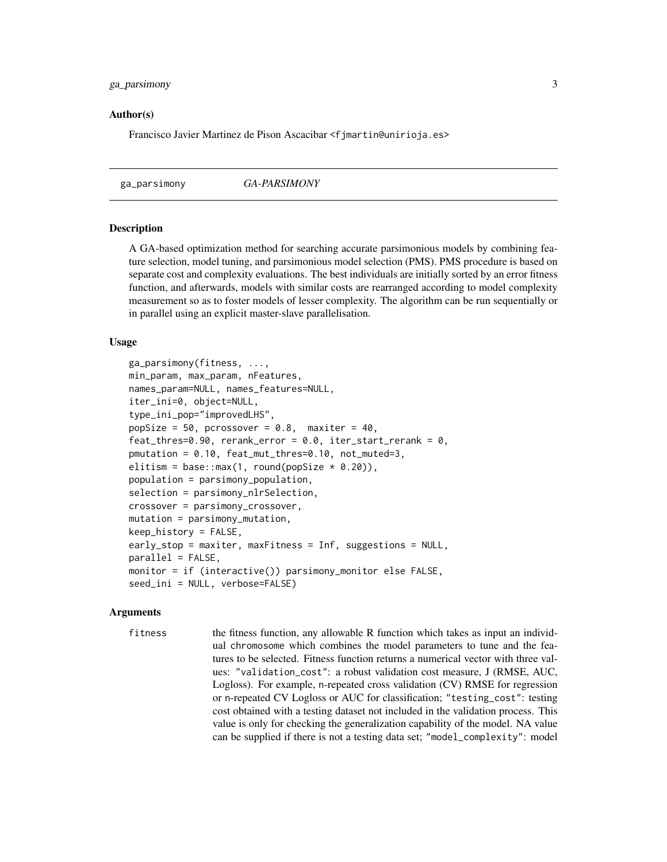# <span id="page-2-0"></span>ga\_parsimony 3

#### Author(s)

Francisco Javier Martinez de Pison Ascacibar <f jmartin@unirioja.es>

<span id="page-2-1"></span>ga\_parsimony *GA-PARSIMONY*

#### Description

A GA-based optimization method for searching accurate parsimonious models by combining feature selection, model tuning, and parsimonious model selection (PMS). PMS procedure is based on separate cost and complexity evaluations. The best individuals are initially sorted by an error fitness function, and afterwards, models with similar costs are rearranged according to model complexity measurement so as to foster models of lesser complexity. The algorithm can be run sequentially or in parallel using an explicit master-slave parallelisation.

#### Usage

```
ga_parsimony(fitness, ...,
min_param, max_param, nFeatures,
names_param=NULL, names_features=NULL,
iter_ini=0, object=NULL,
type_ini_pop="improvedLHS",
popSize = 50, pcrossover = 0.8, maxiter = 40,
feat_thres=0.90, rerank_error = 0.0, iter_start_rerank = 0,
pmutation = 0.10, feat_mut_thres=0.10, not_muted=3,
elitism = base::max(1, round(popSize * 0.20)),
population = parsimony_population,
selection = parsimony_nlrSelection,
crossover = parsimony_crossover,
mutation = parsimony_mutation,
keep_history = FALSE,
early_stop = maxiter, maxFitness = Inf, suggestions = NULL,
parallel = FALSE,
monitor = if (interactive()) parsimony_monitor else FALSE,
seed_ini = NULL, verbose=FALSE)
```
#### Arguments

fitness the fitness function, any allowable R function which takes as input an individual chromosome which combines the model parameters to tune and the features to be selected. Fitness function returns a numerical vector with three values: "validation\_cost": a robust validation cost measure, J (RMSE, AUC, Logloss). For example, n-repeated cross validation (CV) RMSE for regression or n-repeated CV Logloss or AUC for classification; "testing\_cost": testing cost obtained with a testing dataset not included in the validation process. This value is only for checking the generalization capability of the model. NA value can be supplied if there is not a testing data set; "model\_complexity": model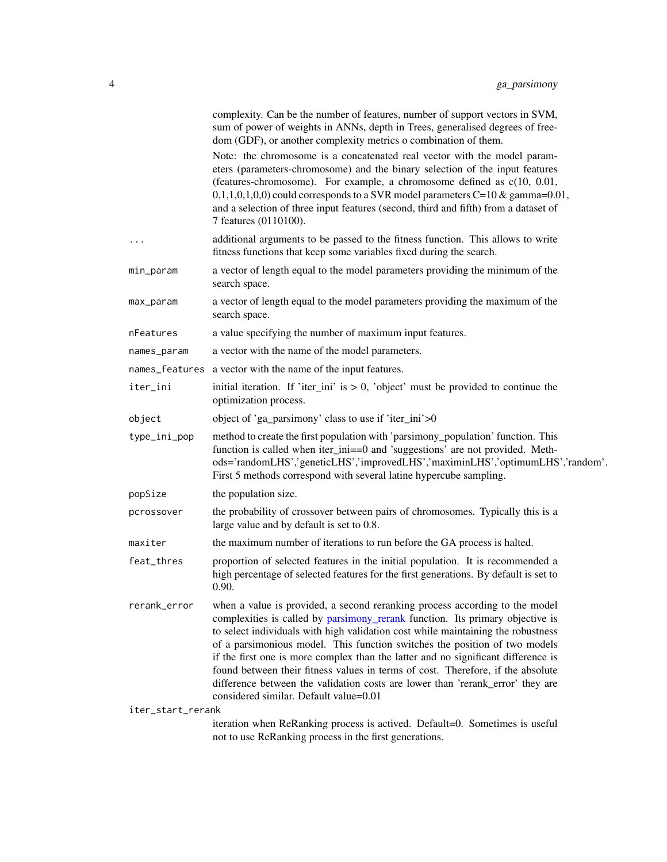<span id="page-3-0"></span>

|                   | complexity. Can be the number of features, number of support vectors in SVM,<br>sum of power of weights in ANNs, depth in Trees, generalised degrees of free-<br>dom (GDF), or another complexity metrics o combination of them.                                                                                                                                                                                                                                                                                                                                                                                                   |
|-------------------|------------------------------------------------------------------------------------------------------------------------------------------------------------------------------------------------------------------------------------------------------------------------------------------------------------------------------------------------------------------------------------------------------------------------------------------------------------------------------------------------------------------------------------------------------------------------------------------------------------------------------------|
|                   | Note: the chromosome is a concatenated real vector with the model param-<br>eters (parameters-chromosome) and the binary selection of the input features<br>(features-chromosome). For example, a chromosome defined as c(10, 0.01,<br>$(0,1,1,0,1,0,0)$ could corresponds to a SVR model parameters C=10 & gamma=0.01,<br>and a selection of three input features (second, third and fifth) from a dataset of<br>7 features (0110100).                                                                                                                                                                                            |
| $\cdots$          | additional arguments to be passed to the fitness function. This allows to write<br>fitness functions that keep some variables fixed during the search.                                                                                                                                                                                                                                                                                                                                                                                                                                                                             |
| min_param         | a vector of length equal to the model parameters providing the minimum of the<br>search space.                                                                                                                                                                                                                                                                                                                                                                                                                                                                                                                                     |
| max_param         | a vector of length equal to the model parameters providing the maximum of the<br>search space.                                                                                                                                                                                                                                                                                                                                                                                                                                                                                                                                     |
| nFeatures         | a value specifying the number of maximum input features.                                                                                                                                                                                                                                                                                                                                                                                                                                                                                                                                                                           |
| names_param       | a vector with the name of the model parameters.                                                                                                                                                                                                                                                                                                                                                                                                                                                                                                                                                                                    |
|                   | names_features a vector with the name of the input features.                                                                                                                                                                                                                                                                                                                                                                                                                                                                                                                                                                       |
| iter_ini          | initial iteration. If 'iter_ini' is $> 0$ , 'object' must be provided to continue the<br>optimization process.                                                                                                                                                                                                                                                                                                                                                                                                                                                                                                                     |
| object            | object of 'ga_parsimony' class to use if 'iter_ini'>0                                                                                                                                                                                                                                                                                                                                                                                                                                                                                                                                                                              |
| type_ini_pop      | method to create the first population with 'parsimony_population' function. This<br>function is called when iter_ini==0 and 'suggestions' are not provided. Meth-<br>ods='randomLHS','geneticLHS','improvedLHS','maximinLHS','optimumLHS','random'.<br>First 5 methods correspond with several latine hypercube sampling.                                                                                                                                                                                                                                                                                                          |
| popSize           | the population size.                                                                                                                                                                                                                                                                                                                                                                                                                                                                                                                                                                                                               |
| pcrossover        | the probability of crossover between pairs of chromosomes. Typically this is a<br>large value and by default is set to 0.8.                                                                                                                                                                                                                                                                                                                                                                                                                                                                                                        |
| maxiter           | the maximum number of iterations to run before the GA process is halted.                                                                                                                                                                                                                                                                                                                                                                                                                                                                                                                                                           |
| feat_thres        | proportion of selected features in the initial population. It is recommended a<br>high percentage of selected features for the first generations. By default is set to<br>0.90.                                                                                                                                                                                                                                                                                                                                                                                                                                                    |
| rerank_error      | when a value is provided, a second reranking process according to the model<br>complexities is called by parsimony_rerank function. Its primary objective is<br>to select individuals with high validation cost while maintaining the robustness<br>of a parsimonious model. This function switches the position of two models<br>if the first one is more complex than the latter and no significant difference is<br>found between their fitness values in terms of cost. Therefore, if the absolute<br>difference between the validation costs are lower than 'rerank_error' they are<br>considered similar. Default value=0.01 |
| iter_start_rerank |                                                                                                                                                                                                                                                                                                                                                                                                                                                                                                                                                                                                                                    |
|                   | iteration when ReRanking process is actived. Default=0. Sometimes is useful<br>not to use ReRanking process in the first generations.                                                                                                                                                                                                                                                                                                                                                                                                                                                                                              |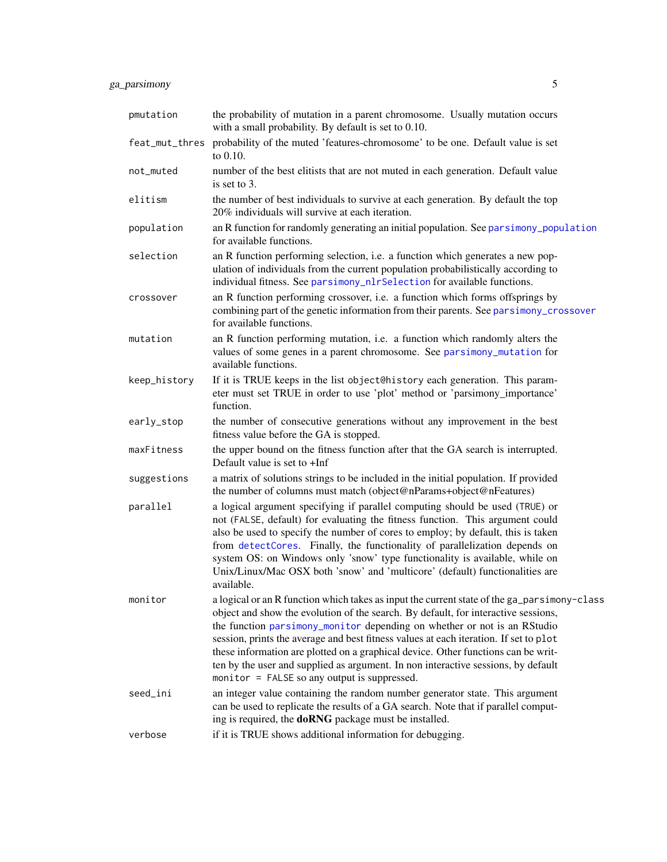# <span id="page-4-0"></span>ga\_parsimony 5

| pmutation      | the probability of mutation in a parent chromosome. Usually mutation occurs<br>with a small probability. By default is set to 0.10.                                                                                                                                                                                                                                                                                                                                                                                                                                              |
|----------------|----------------------------------------------------------------------------------------------------------------------------------------------------------------------------------------------------------------------------------------------------------------------------------------------------------------------------------------------------------------------------------------------------------------------------------------------------------------------------------------------------------------------------------------------------------------------------------|
| feat_mut_thres | probability of the muted 'features-chromosome' to be one. Default value is set<br>to 0.10.                                                                                                                                                                                                                                                                                                                                                                                                                                                                                       |
| not_muted      | number of the best elitists that are not muted in each generation. Default value<br>is set to 3.                                                                                                                                                                                                                                                                                                                                                                                                                                                                                 |
| elitism        | the number of best individuals to survive at each generation. By default the top<br>20% individuals will survive at each iteration.                                                                                                                                                                                                                                                                                                                                                                                                                                              |
| population     | an R function for randomly generating an initial population. See parsimony_population<br>for available functions.                                                                                                                                                                                                                                                                                                                                                                                                                                                                |
| selection      | an R function performing selection, i.e. a function which generates a new pop-<br>ulation of individuals from the current population probabilistically according to<br>individual fitness. See parsimony_nlrSelection for available functions.                                                                                                                                                                                                                                                                                                                                   |
| crossover      | an R function performing crossover, i.e. a function which forms offsprings by<br>combining part of the genetic information from their parents. See parsimony_crossover<br>for available functions.                                                                                                                                                                                                                                                                                                                                                                               |
| mutation       | an R function performing mutation, i.e. a function which randomly alters the<br>values of some genes in a parent chromosome. See parsimony_mutation for<br>available functions.                                                                                                                                                                                                                                                                                                                                                                                                  |
| keep_history   | If it is TRUE keeps in the list object@history each generation. This param-<br>eter must set TRUE in order to use 'plot' method or 'parsimony_importance'<br>function.                                                                                                                                                                                                                                                                                                                                                                                                           |
| early_stop     | the number of consecutive generations without any improvement in the best<br>fitness value before the GA is stopped.                                                                                                                                                                                                                                                                                                                                                                                                                                                             |
| maxFitness     | the upper bound on the fitness function after that the GA search is interrupted.<br>Default value is set to +Inf                                                                                                                                                                                                                                                                                                                                                                                                                                                                 |
| suggestions    | a matrix of solutions strings to be included in the initial population. If provided<br>the number of columns must match (object@nParams+object@nFeatures)                                                                                                                                                                                                                                                                                                                                                                                                                        |
| parallel       | a logical argument specifying if parallel computing should be used (TRUE) or<br>not (FALSE, default) for evaluating the fitness function. This argument could<br>also be used to specify the number of cores to employ; by default, this is taken<br>from detectCores. Finally, the functionality of parallelization depends on<br>system OS: on Windows only 'snow' type functionality is available, while on<br>Unix/Linux/Mac OSX both 'snow' and 'multicore' (default) functionalities are<br>available.                                                                     |
| monitor        | a logical or an R function which takes as input the current state of the ga_parsimony-class<br>object and show the evolution of the search. By default, for interactive sessions,<br>the function parsimony_monitor depending on whether or not is an RStudio<br>session, prints the average and best fitness values at each iteration. If set to plot<br>these information are plotted on a graphical device. Other functions can be writ-<br>ten by the user and supplied as argument. In non interactive sessions, by default<br>monitor = FALSE so any output is suppressed. |
| seed_ini       | an integer value containing the random number generator state. This argument<br>can be used to replicate the results of a GA search. Note that if parallel comput-<br>ing is required, the <b>doRNG</b> package must be installed.                                                                                                                                                                                                                                                                                                                                               |
| verbose        | if it is TRUE shows additional information for debugging.                                                                                                                                                                                                                                                                                                                                                                                                                                                                                                                        |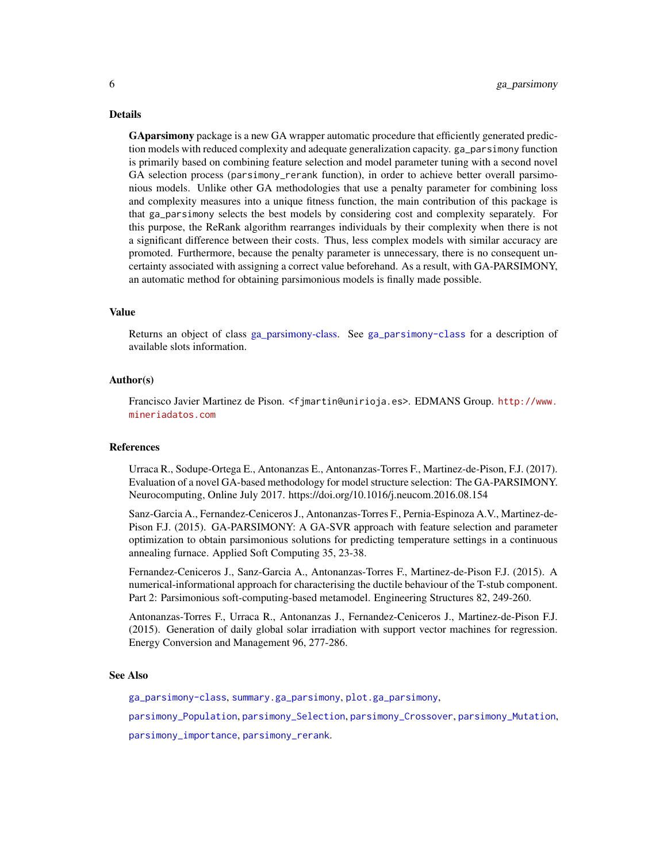#### <span id="page-5-0"></span>Details

GAparsimony package is a new GA wrapper automatic procedure that efficiently generated prediction models with reduced complexity and adequate generalization capacity. ga\_parsimony function is primarily based on combining feature selection and model parameter tuning with a second novel GA selection process (parsimony\_rerank function), in order to achieve better overall parsimonious models. Unlike other GA methodologies that use a penalty parameter for combining loss and complexity measures into a unique fitness function, the main contribution of this package is that ga\_parsimony selects the best models by considering cost and complexity separately. For this purpose, the ReRank algorithm rearranges individuals by their complexity when there is not a significant difference between their costs. Thus, less complex models with similar accuracy are promoted. Furthermore, because the penalty parameter is unnecessary, there is no consequent uncertainty associated with assigning a correct value beforehand. As a result, with GA-PARSIMONY, an automatic method for obtaining parsimonious models is finally made possible.

#### Value

Returns an object of class [ga\\_parsimony-class.](#page-12-1) See [ga\\_parsimony-class](#page-12-1) for a description of available slots information.

#### Author(s)

Francisco Javier Martinez de Pison. <fjmartin@unirioja.es>. EDMANS Group. [http://www.](http://www.mineriadatos.com) [mineriadatos.com](http://www.mineriadatos.com)

#### References

Urraca R., Sodupe-Ortega E., Antonanzas E., Antonanzas-Torres F., Martinez-de-Pison, F.J. (2017). Evaluation of a novel GA-based methodology for model structure selection: The GA-PARSIMONY. Neurocomputing, Online July 2017. https://doi.org/10.1016/j.neucom.2016.08.154

Sanz-Garcia A., Fernandez-Ceniceros J., Antonanzas-Torres F., Pernia-Espinoza A.V., Martinez-de-Pison F.J. (2015). GA-PARSIMONY: A GA-SVR approach with feature selection and parameter optimization to obtain parsimonious solutions for predicting temperature settings in a continuous annealing furnace. Applied Soft Computing 35, 23-38.

Fernandez-Ceniceros J., Sanz-Garcia A., Antonanzas-Torres F., Martinez-de-Pison F.J. (2015). A numerical-informational approach for characterising the ductile behaviour of the T-stub component. Part 2: Parsimonious soft-computing-based metamodel. Engineering Structures 82, 249-260.

Antonanzas-Torres F., Urraca R., Antonanzas J., Fernandez-Ceniceros J., Martinez-de-Pison F.J. (2015). Generation of daily global solar irradiation with support vector machines for regression. Energy Conversion and Management 96, 277-286.

#### See Also

[ga\\_parsimony-class](#page-12-1), [summary.ga\\_parsimony](#page-22-1), [plot.ga\\_parsimony](#page-21-1),

[parsimony\\_Population](#page-17-3), [parsimony\\_Selection](#page-20-2), [parsimony\\_Crossover](#page-14-2), [parsimony\\_Mutation](#page-17-4),

[parsimony\\_importance](#page-15-1), [parsimony\\_rerank](#page-18-1).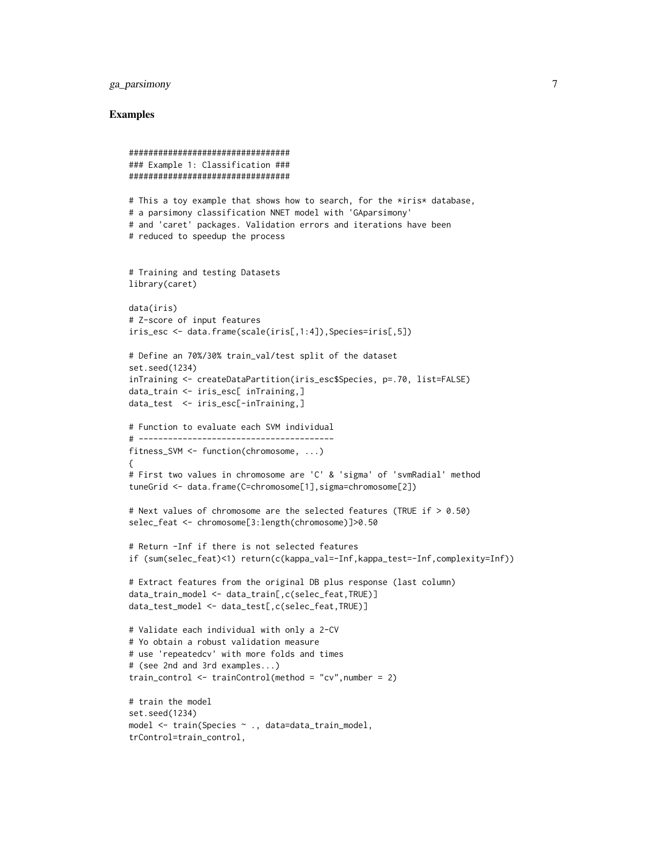# ga\_parsimony 7

#### Examples

```
#################################
### Example 1: Classification ###
#################################
# This a toy example that shows how to search, for the *iris* database,
# a parsimony classification NNET model with 'GAparsimony'
# and 'caret' packages. Validation errors and iterations have been
# reduced to speedup the process
# Training and testing Datasets
library(caret)
data(iris)
# Z-score of input features
iris_esc <- data.frame(scale(iris[,1:4]),Species=iris[,5])
# Define an 70%/30% train_val/test split of the dataset
set.seed(1234)
inTraining <- createDataPartition(iris_esc$Species, p=.70, list=FALSE)
data_train <- iris_esc[ inTraining,]
data_test <- iris_esc[-inTraining,]
# Function to evaluate each SVM individual
# ----------------------------------------
fitness_SVM <- function(chromosome, ...)
{
# First two values in chromosome are 'C' & 'sigma' of 'svmRadial' method
tuneGrid <- data.frame(C=chromosome[1],sigma=chromosome[2])
# Next values of chromosome are the selected features (TRUE if > 0.50)
selec_feat <- chromosome[3:length(chromosome)]>0.50
# Return -Inf if there is not selected features
if (sum(selec_feat)<1) return(c(kappa_val=-Inf,kappa_test=-Inf,complexity=Inf))
# Extract features from the original DB plus response (last column)
data_train_model <- data_train[,c(selec_feat,TRUE)]
data_test_model <- data_test[,c(selec_feat,TRUE)]
# Validate each individual with only a 2-CV
# Yo obtain a robust validation measure
# use 'repeatedcv' with more folds and times
# (see 2nd and 3rd examples...)
train_control \le trainControl(method = "cv", number = 2)
# train the model
set.seed(1234)
model <- train(Species ~ ., data=data_train_model,
trControl=train_control,
```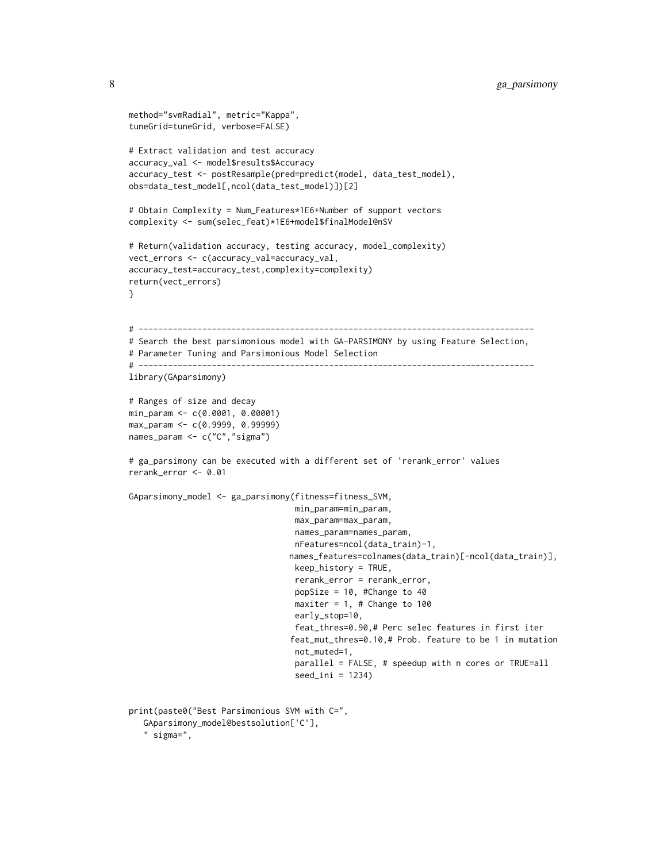```
method="svmRadial", metric="Kappa",
tuneGrid=tuneGrid, verbose=FALSE)
# Extract validation and test accuracy
accuracy_val <- model$results$Accuracy
accuracy_test <- postResample(pred=predict(model, data_test_model),
obs=data_test_model[,ncol(data_test_model)])[2]
# Obtain Complexity = Num_Features*1E6+Number of support vectors
complexity <- sum(selec_feat)*1E6+model$finalModel@nSV
# Return(validation accuracy, testing accuracy, model_complexity)
vect_errors <- c(accuracy_val=accuracy_val,
accuracy_test=accuracy_test,complexity=complexity)
return(vect_errors)
}
# ---------------------------------------------------------------------------------
# Search the best parsimonious model with GA-PARSIMONY by using Feature Selection,
# Parameter Tuning and Parsimonious Model Selection
# ---------------------------------------------------------------------------------
library(GAparsimony)
# Ranges of size and decay
min_param <- c(0.0001, 0.00001)
max_param <- c(0.9999, 0.99999)
names_param <- c("C","sigma")
# ga_parsimony can be executed with a different set of 'rerank_error' values
rerank_error <- 0.01
GAparsimony_model <- ga_parsimony(fitness=fitness_SVM,
                                  min_param=min_param,
                                  max_param=max_param,
                                  names_param=names_param,
                                  nFeatures=ncol(data_train)-1,
                                 names_features=colnames(data_train)[-ncol(data_train)],
                                  keep_history = TRUE,
                                  rerank_error = rerank_error,
                                  popSize = 10, #Change to 40
                                  maxiter = 1, # Change to 100early_stop=10,
                                  feat_thres=0.90,# Perc selec features in first iter
                                 feat_mut_thres=0.10,# Prob. feature to be 1 in mutation
                                  not_muted=1,
                                  parallel = FALSE, # speedup with n cores or TRUE=all
                                  seed\_ini = 1234)
print(paste0("Best Parsimonious SVM with C=",
  GAparsimony_model@bestsolution['C'],
```
" sigma=",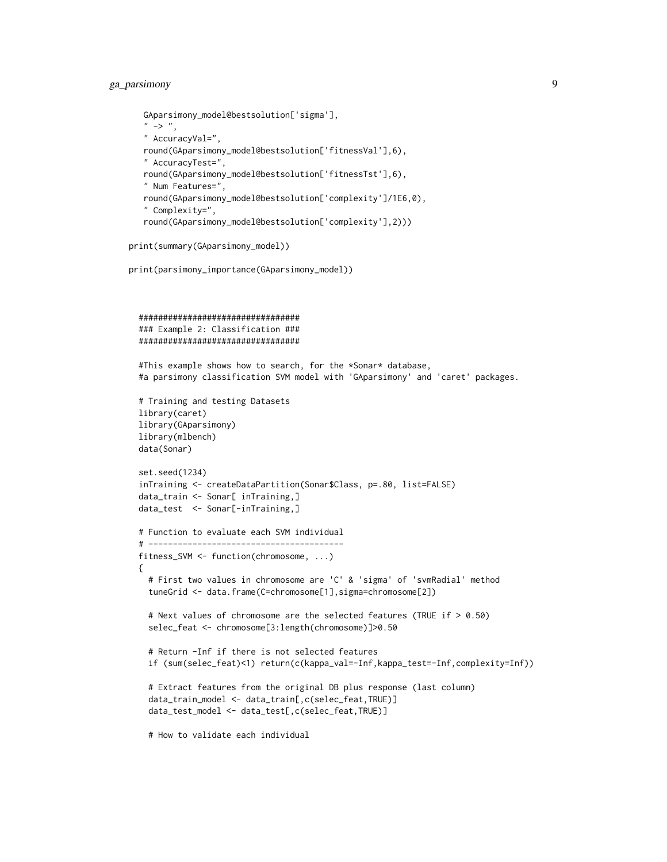# ga\_parsimony 9

```
GAparsimony_model@bestsolution['sigma'],
" -> ",
" AccuracyVal=",
round(GAparsimony_model@bestsolution['fitnessVal'],6),
" AccuracyTest=",
round(GAparsimony_model@bestsolution['fitnessTst'],6),
" Num Features=",
round(GAparsimony_model@bestsolution['complexity']/1E6,0),
" Complexity=",
round(GAparsimony_model@bestsolution['complexity'],2)))
```

```
print(summary(GAparsimony_model))
```

```
print(parsimony_importance(GAparsimony_model))
```

```
#################################
### Example 2: Classification ###
#################################
```
#This example shows how to search, for the \*Sonar\* database, #a parsimony classification SVM model with 'GAparsimony' and 'caret' packages.

```
# Training and testing Datasets
library(caret)
library(GAparsimony)
library(mlbench)
data(Sonar)
```

```
set.seed(1234)
inTraining <- createDataPartition(Sonar$Class, p=.80, list=FALSE)
data_train <- Sonar[ inTraining,]
data_test <- Sonar[-inTraining,]
```

```
# Function to evaluate each SVM individual
# ----------------------------------------
fitness_SVM <- function(chromosome, ...)
{
  # First two values in chromosome are 'C' & 'sigma' of 'svmRadial' method
  tuneGrid <- data.frame(C=chromosome[1],sigma=chromosome[2])
  # Next values of chromosome are the selected features (TRUE if > 0.50)
  selec_feat <- chromosome[3:length(chromosome)]>0.50
  # Return -Inf if there is not selected features
  if (sum(selec_feat)<1) return(c(kappa_val=-Inf,kappa_test=-Inf,complexity=Inf))
  # Extract features from the original DB plus response (last column)
  data_train_model <- data_train[,c(selec_feat,TRUE)]
  data_test_model <- data_test[,c(selec_feat,TRUE)]
```
# How to validate each individual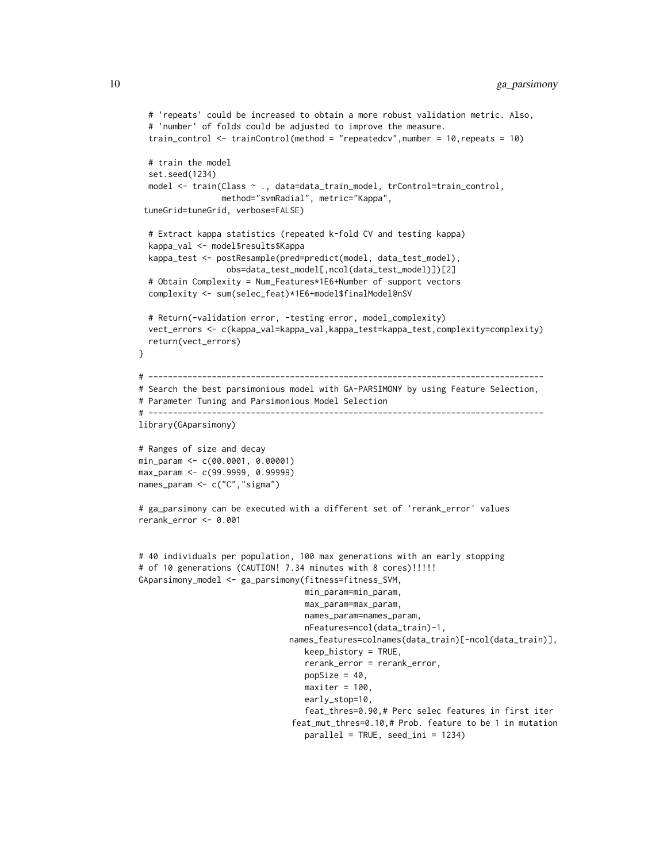```
# 'repeats' could be increased to obtain a more robust validation metric. Also,
  # 'number' of folds could be adjusted to improve the measure.
  train_control <- trainControl(method = "repeatedcv",number = 10,repeats = 10)
  # train the model
  set.seed(1234)
  model <- train(Class ~ ., data=data_train_model, trControl=train_control,
                 method="svmRadial", metric="Kappa",
 tuneGrid=tuneGrid, verbose=FALSE)
  # Extract kappa statistics (repeated k-fold CV and testing kappa)
  kappa_val <- model$results$Kappa
  kappa_test <- postResample(pred=predict(model, data_test_model),
                  obs=data_test_model[,ncol(data_test_model)])[2]
  # Obtain Complexity = Num_Features*1E6+Number of support vectors
  complexity <- sum(selec_feat)*1E6+model$finalModel@nSV
  # Return(-validation error, -testing error, model_complexity)
  vect_errors <- c(kappa_val=kappa_val,kappa_test=kappa_test,complexity=complexity)
  return(vect_errors)
}
# ---------------------------------------------------------------------------------
# Search the best parsimonious model with GA-PARSIMONY by using Feature Selection,
# Parameter Tuning and Parsimonious Model Selection
# ---------------------------------------------------------------------------------
library(GAparsimony)
# Ranges of size and decay
min_param <- c(00.0001, 0.00001)
max_param <- c(99.9999, 0.99999)
names_param <- c("C","sigma")
# ga_parsimony can be executed with a different set of 'rerank_error' values
rerank_error <- 0.001
# 40 individuals per population, 100 max generations with an early stopping
# of 10 generations (CAUTION! 7.34 minutes with 8 cores)!!!!!
GAparsimony_model <- ga_parsimony(fitness=fitness_SVM,
                                  min_param=min_param,
                                  max_param=max_param,
                                  names_param=names_param,
                                  nFeatures=ncol(data_train)-1,
                               names_features=colnames(data_train)[-ncol(data_train)],
                                  keep_history = TRUE,
                                  rerank_error = rerank_error,
                                  popSize = 40,
                                  maxiter = 100,
                                  early_stop=10,
                                  feat_thres=0.90,# Perc selec features in first iter
                               feat_mut_thres=0.10,# Prob. feature to be 1 in mutation
                                  parallel = TRUE, seed_ini = 1234)
```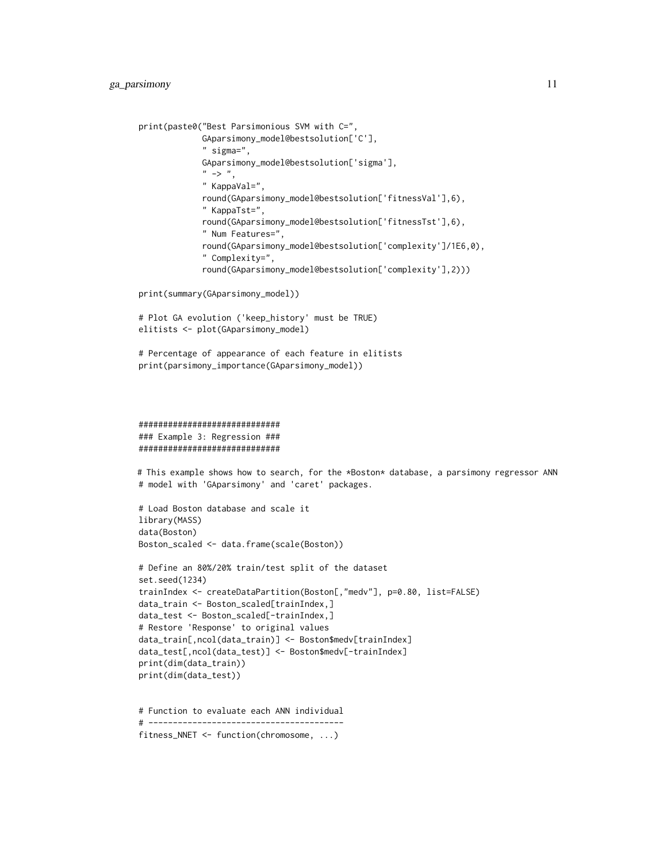```
print(paste0("Best Parsimonious SVM with C=",
             GAparsimony_model@bestsolution['C'],
             " sigma=",
             GAparsimony_model@bestsolution['sigma'],
             " -> ",
             " KappaVal=",
             round(GAparsimony_model@bestsolution['fitnessVal'],6),
             " KappaTst=",
             round(GAparsimony_model@bestsolution['fitnessTst'],6),
             " Num Features=",
             round(GAparsimony_model@bestsolution['complexity']/1E6,0),
             " Complexity=",
             round(GAparsimony_model@bestsolution['complexity'],2)))
```

```
print(summary(GAparsimony_model))
```

```
# Plot GA evolution ('keep_history' must be TRUE)
elitists <- plot(GAparsimony_model)
```

```
# Percentage of appearance of each feature in elitists
print(parsimony_importance(GAparsimony_model))
```

```
#############################
### Example 3: Regression ###
#############################
```
# This example shows how to search, for the \*Boston\* database, a parsimony regressor ANN # model with 'GAparsimony' and 'caret' packages.

```
# Load Boston database and scale it
library(MASS)
data(Boston)
Boston_scaled <- data.frame(scale(Boston))
```

```
# Define an 80%/20% train/test split of the dataset
set.seed(1234)
trainIndex <- createDataPartition(Boston[,"medv"], p=0.80, list=FALSE)
data_train <- Boston_scaled[trainIndex,]
data_test <- Boston_scaled[-trainIndex,]
# Restore 'Response' to original values
data_train[,ncol(data_train)] <- Boston$medv[trainIndex]
data_test[,ncol(data_test)] <- Boston$medv[-trainIndex]
print(dim(data_train))
print(dim(data_test))
```
# Function to evaluate each ANN individual # --------------------------------------- fitness\_NNET <- function(chromosome, ...)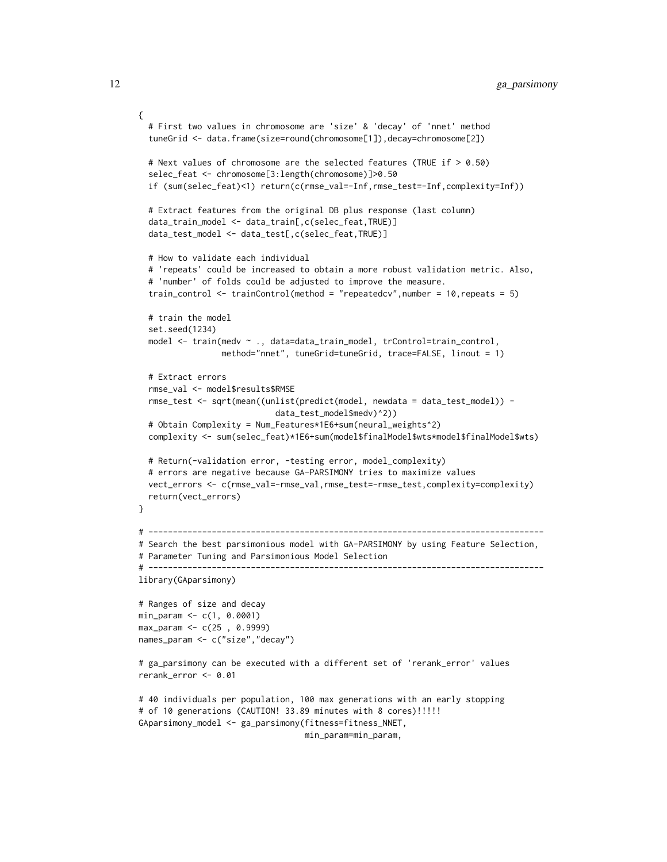```
{
  # First two values in chromosome are 'size' & 'decay' of 'nnet' method
  tuneGrid <- data.frame(size=round(chromosome[1]),decay=chromosome[2])
  # Next values of chromosome are the selected features (TRUE if > 0.50)
  selec_feat <- chromosome[3:length(chromosome)]>0.50
  if (sum(selec_feat)<1) return(c(rmse_val=-Inf,rmse_test=-Inf,complexity=Inf))
  # Extract features from the original DB plus response (last column)
  data_train_model <- data_train[,c(selec_feat,TRUE)]
  data_test_model <- data_test[,c(selec_feat,TRUE)]
  # How to validate each individual
  # 'repeats' could be increased to obtain a more robust validation metric. Also,
  # 'number' of folds could be adjusted to improve the measure.
  train_control <- trainControl(method = "repeatedcv",number = 10,repeats = 5)
  # train the model
  set.seed(1234)
  model <- train(medv ~ ., data=data_train_model, trControl=train_control,
                 method="nnet", tuneGrid=tuneGrid, trace=FALSE, linout = 1)
  # Extract errors
  rmse_val <- model$results$RMSE
  rmse_test <- sqrt(mean((unlist(predict(model, newdata = data_test_model)) -
                            data_test_model$medv)^2))
  # Obtain Complexity = Num_Features*1E6+sum(neural_weights^2)
  complexity <- sum(selec_feat)*1E6+sum(model$finalModel$wts*model$finalModel$wts)
  # Return(-validation error, -testing error, model_complexity)
  # errors are negative because GA-PARSIMONY tries to maximize values
  vect_errors <- c(rmse_val=-rmse_val,rmse_test=-rmse_test,complexity=complexity)
  return(vect_errors)
}
# ---------------------------------------------------------------------------------
# Search the best parsimonious model with GA-PARSIMONY by using Feature Selection,
# Parameter Tuning and Parsimonious Model Selection
# ---------------------------------------------------------------------------------
library(GAparsimony)
# Ranges of size and decay
min_param <- c(1, 0.0001)
max_param <- c(25 , 0.9999)
names_param <- c("size","decay")
# ga_parsimony can be executed with a different set of 'rerank_error' values
rerank_error <- 0.01
# 40 individuals per population, 100 max generations with an early stopping
# of 10 generations (CAUTION! 33.89 minutes with 8 cores)!!!!!
GAparsimony_model <- ga_parsimony(fitness=fitness_NNET,
                                  min_param=min_param,
```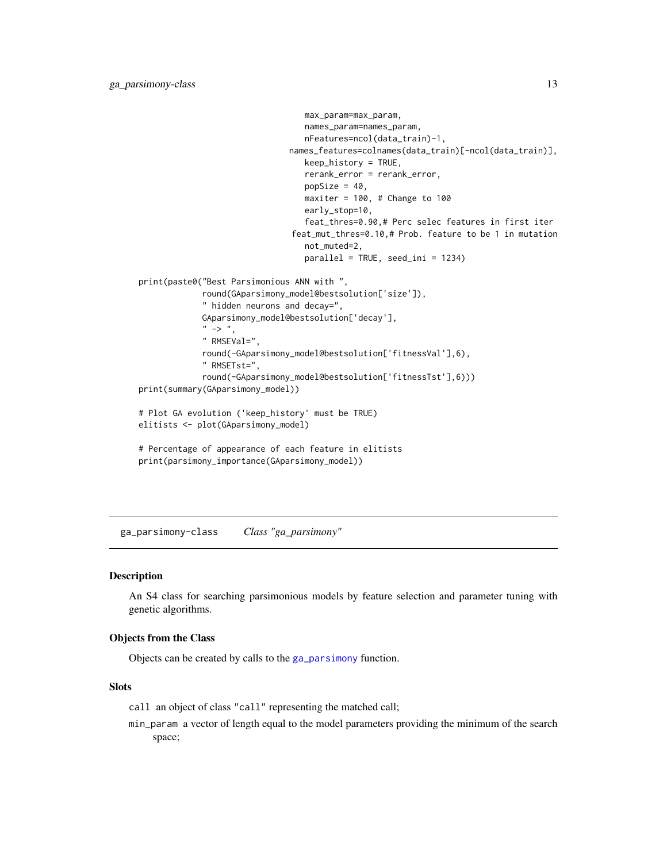```
max_param=max_param,
                                  names_param=names_param,
                                  nFeatures=ncol(data_train)-1,
                               names_features=colnames(data_train)[-ncol(data_train)],
                                  keep_history = TRUE,
                                  rerank_error = rerank_error,
                                  popSize = 40,maxiter = 100, # Change to 100early_stop=10,
                                  feat_thres=0.90,# Perc selec features in first iter
                               feat_mut_thres=0.10,# Prob. feature to be 1 in mutation
                                  not_muted=2,
                                  parallel = TRUE, seed_ini = 1234)
print(paste0("Best Parsimonious ANN with ",
             round(GAparsimony_model@bestsolution['size']),
             " hidden neurons and decay=",
             GAparsimony_model@bestsolution['decay'],
             " -> ",
             " RMSEVal=",
             round(-GAparsimony_model@bestsolution['fitnessVal'],6),
             " RMSETst=",
             round(-GAparsimony_model@bestsolution['fitnessTst'],6)))
print(summary(GAparsimony_model))
# Plot GA evolution ('keep_history' must be TRUE)
elitists <- plot(GAparsimony_model)
# Percentage of appearance of each feature in elitists
print(parsimony_importance(GAparsimony_model))
```
<span id="page-12-1"></span>ga\_parsimony-class *Class "ga\_parsimony"*

#### **Description**

An S4 class for searching parsimonious models by feature selection and parameter tuning with genetic algorithms.

#### Objects from the Class

Objects can be created by calls to the [ga\\_parsimony](#page-2-1) function.

#### Slots

call an object of class "call" representing the matched call;

min\_param a vector of length equal to the model parameters providing the minimum of the search space;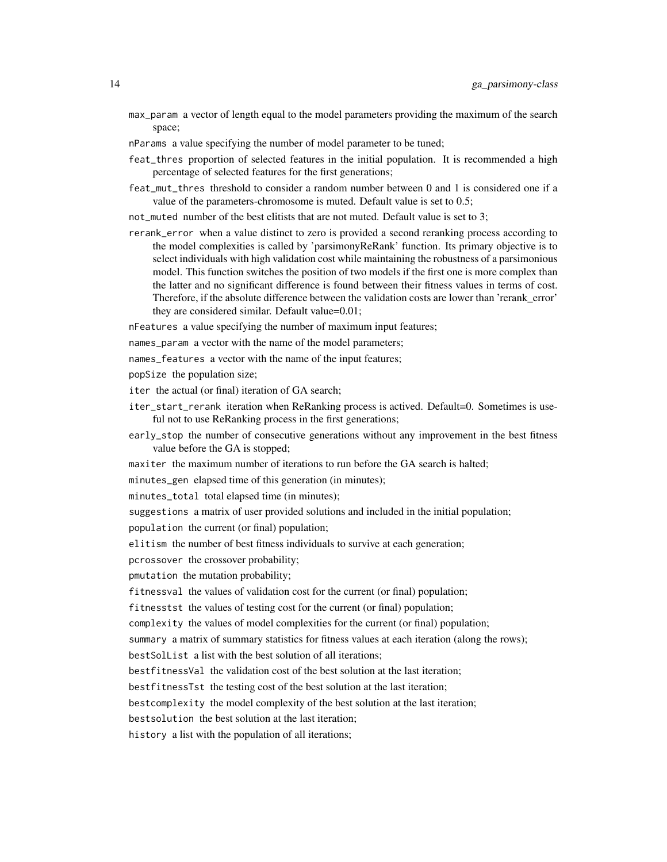- max\_param a vector of length equal to the model parameters providing the maximum of the search space;
- nParams a value specifying the number of model parameter to be tuned;
- feat\_thres proportion of selected features in the initial population. It is recommended a high percentage of selected features for the first generations;
- feat\_mut\_thres threshold to consider a random number between 0 and 1 is considered one if a value of the parameters-chromosome is muted. Default value is set to 0.5;
- not\_muted number of the best elitists that are not muted. Default value is set to 3;
- rerank\_error when a value distinct to zero is provided a second reranking process according to the model complexities is called by 'parsimonyReRank' function. Its primary objective is to select individuals with high validation cost while maintaining the robustness of a parsimonious model. This function switches the position of two models if the first one is more complex than the latter and no significant difference is found between their fitness values in terms of cost. Therefore, if the absolute difference between the validation costs are lower than 'rerank\_error' they are considered similar. Default value=0.01;

nFeatures a value specifying the number of maximum input features;

names\_param a vector with the name of the model parameters;

- names\_features a vector with the name of the input features;
- popSize the population size;
- iter the actual (or final) iteration of GA search;
- iter\_start\_rerank iteration when ReRanking process is actived. Default=0. Sometimes is useful not to use ReRanking process in the first generations;
- early\_stop the number of consecutive generations without any improvement in the best fitness value before the GA is stopped;
- maxiter the maximum number of iterations to run before the GA search is halted;

minutes\_gen elapsed time of this generation (in minutes);

minutes\_total total elapsed time (in minutes);

suggestions a matrix of user provided solutions and included in the initial population;

population the current (or final) population;

elitism the number of best fitness individuals to survive at each generation;

pcrossover the crossover probability;

pmutation the mutation probability;

fitnessval the values of validation cost for the current (or final) population;

fitnesstst the values of testing cost for the current (or final) population;

complexity the values of model complexities for the current (or final) population;

summary a matrix of summary statistics for fitness values at each iteration (along the rows);

bestSolList a list with the best solution of all iterations;

bestfitnessVal the validation cost of the best solution at the last iteration;

bestfitnessTst the testing cost of the best solution at the last iteration;

bestcomplexity the model complexity of the best solution at the last iteration;

bestsolution the best solution at the last iteration;

history a list with the population of all iterations;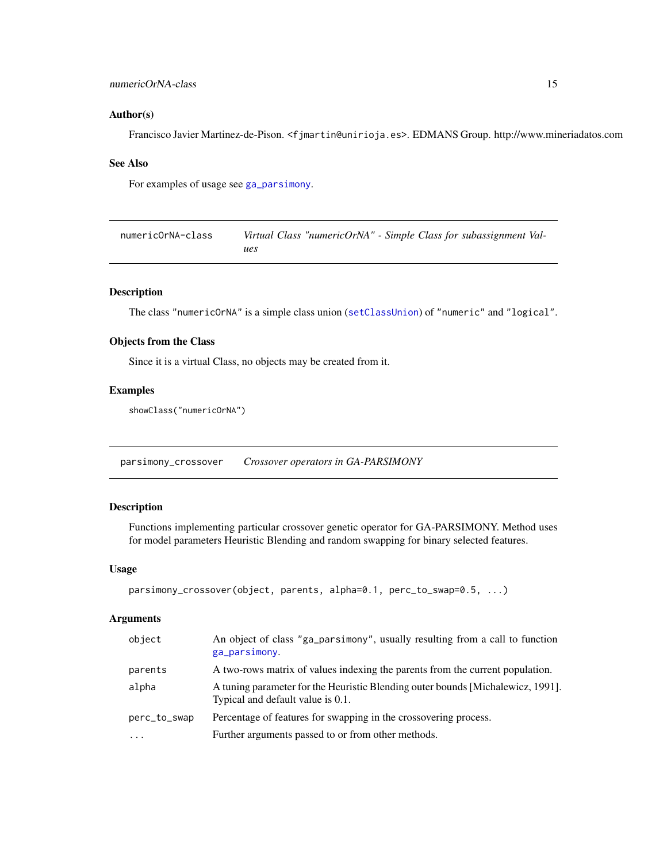#### <span id="page-14-0"></span>numericOrNA-class 15

#### Author(s)

Francisco Javier Martinez-de-Pison. <fjmartin@unirioja.es>. EDMANS Group. http://www.mineriadatos.com

#### See Also

For examples of usage see [ga\\_parsimony](#page-2-1).

| numericOrNA-class | Virtual Class "numericOrNA" - Simple Class for subassignment Val- |
|-------------------|-------------------------------------------------------------------|
|                   | ues                                                               |

#### Description

The class "numericOrNA" is a simple class union ([setClassUnion](#page-0-0)) of "numeric" and "logical".

# Objects from the Class

Since it is a virtual Class, no objects may be created from it.

#### Examples

```
showClass("numericOrNA")
```
<span id="page-14-1"></span>parsimony\_crossover *Crossover operators in GA-PARSIMONY*

# <span id="page-14-2"></span>Description

Functions implementing particular crossover genetic operator for GA-PARSIMONY. Method uses for model parameters Heuristic Blending and random swapping for binary selected features.

# Usage

```
parsimony_crossover(object, parents, alpha=0.1, perc_to_swap=0.5, ...)
```
#### Arguments

| object       | An object of class "ga_parsimony", usually resulting from a call to function<br>ga_parsimony.                        |
|--------------|----------------------------------------------------------------------------------------------------------------------|
| parents      | A two-rows matrix of values indexing the parents from the current population.                                        |
| alpha        | A tuning parameter for the Heuristic Blending outer bounds [Michalewicz, 1991].<br>Typical and default value is 0.1. |
| perc_to_swap | Percentage of features for swapping in the crossovering process.                                                     |
| $\cdots$     | Further arguments passed to or from other methods.                                                                   |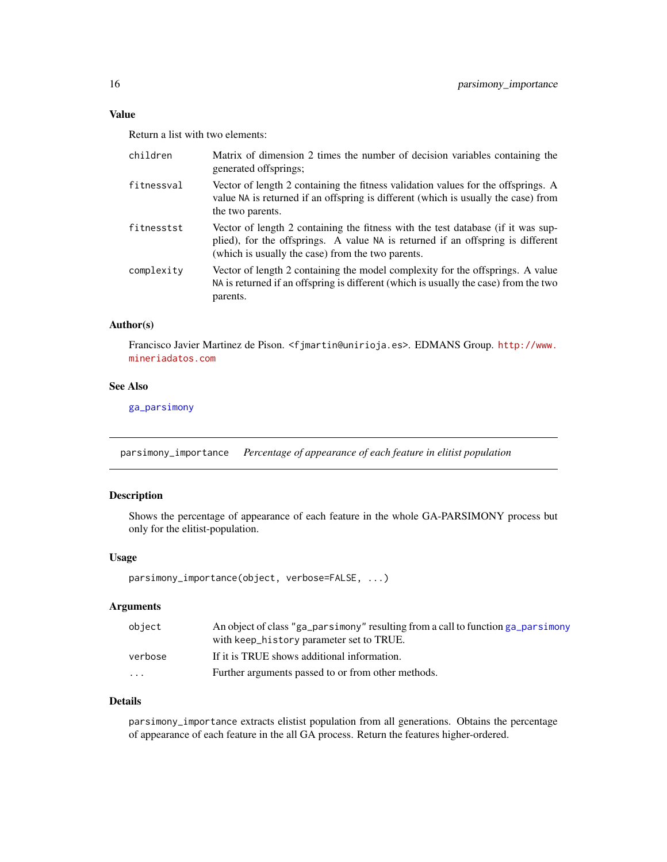# <span id="page-15-0"></span>Value

Return a list with two elements:

| children   | Matrix of dimension 2 times the number of decision variables containing the<br>generated offsprings;                                                                                                                     |
|------------|--------------------------------------------------------------------------------------------------------------------------------------------------------------------------------------------------------------------------|
| fitnessval | Vector of length 2 containing the fitness validation values for the offsprings. A<br>value NA is returned if an offspring is different (which is usually the case) from<br>the two parents.                              |
| fitnesstst | Vector of length 2 containing the fitness with the test database (if it was sup-<br>plied), for the offsprings. A value NA is returned if an offspring is different<br>(which is usually the case) from the two parents. |
| complexity | Vector of length 2 containing the model complexity for the offsprings. A value<br>NA is returned if an offspring is different (which is usually the case) from the two<br>parents.                                       |

# Author(s)

Francisco Javier Martinez de Pison. <fjmartin@unirioja.es>. EDMANS Group. [http://www.](http://www.mineriadatos.com) [mineriadatos.com](http://www.mineriadatos.com)

# See Also

[ga\\_parsimony](#page-2-1)

<span id="page-15-1"></span>parsimony\_importance *Percentage of appearance of each feature in elitist population*

# Description

Shows the percentage of appearance of each feature in the whole GA-PARSIMONY process but only for the elitist-population.

# Usage

parsimony\_importance(object, verbose=FALSE, ...)

# Arguments

| object  | An object of class "ga_parsimony" resulting from a call to function ga_parsimony<br>with keep_history parameter set to TRUE. |
|---------|------------------------------------------------------------------------------------------------------------------------------|
| verbose | If it is TRUE shows additional information.                                                                                  |
| $\cdot$ | Further arguments passed to or from other methods.                                                                           |

# Details

parsimony\_importance extracts elistist population from all generations. Obtains the percentage of appearance of each feature in the all GA process. Return the features higher-ordered.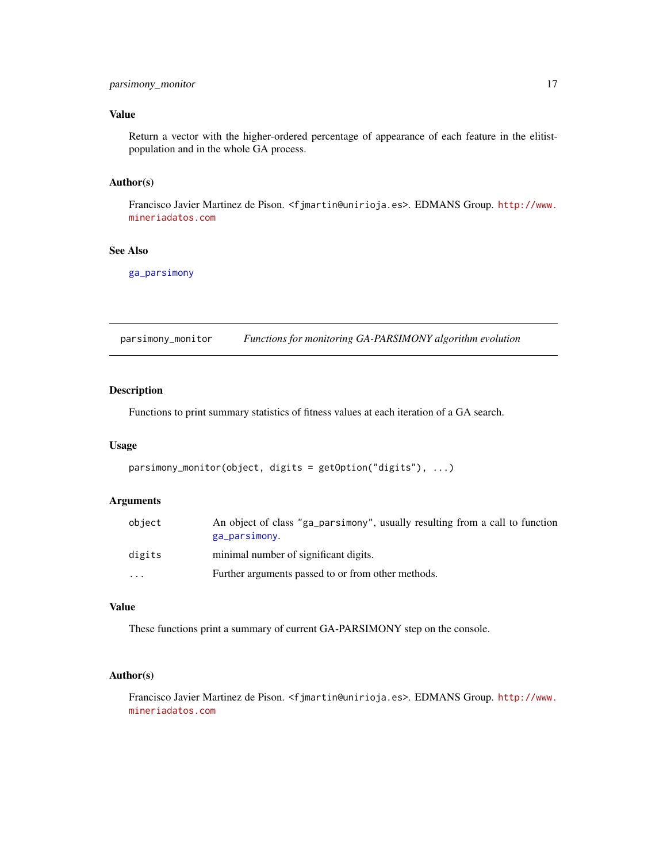# <span id="page-16-0"></span>Value

Return a vector with the higher-ordered percentage of appearance of each feature in the elitistpopulation and in the whole GA process.

# Author(s)

Francisco Javier Martinez de Pison. <fjmartin@unirioja.es>. EDMANS Group. [http://www.](http://www.mineriadatos.com) [mineriadatos.com](http://www.mineriadatos.com)

# See Also

[ga\\_parsimony](#page-2-1)

<span id="page-16-1"></span>parsimony\_monitor *Functions for monitoring GA-PARSIMONY algorithm evolution*

### Description

Functions to print summary statistics of fitness values at each iteration of a GA search.

#### Usage

```
parsimony_monitor(object, digits = getOption("digits"), ...)
```
# Arguments

| object    | An object of class "ga_parsimony", usually resulting from a call to function<br>ga_parsimony. |
|-----------|-----------------------------------------------------------------------------------------------|
| digits    | minimal number of significant digits.                                                         |
| $\ddotsc$ | Further arguments passed to or from other methods.                                            |

# Value

These functions print a summary of current GA-PARSIMONY step on the console.

# Author(s)

Francisco Javier Martinez de Pison. <fjmartin@unirioja.es>. EDMANS Group. [http://www.](http://www.mineriadatos.com) [mineriadatos.com](http://www.mineriadatos.com)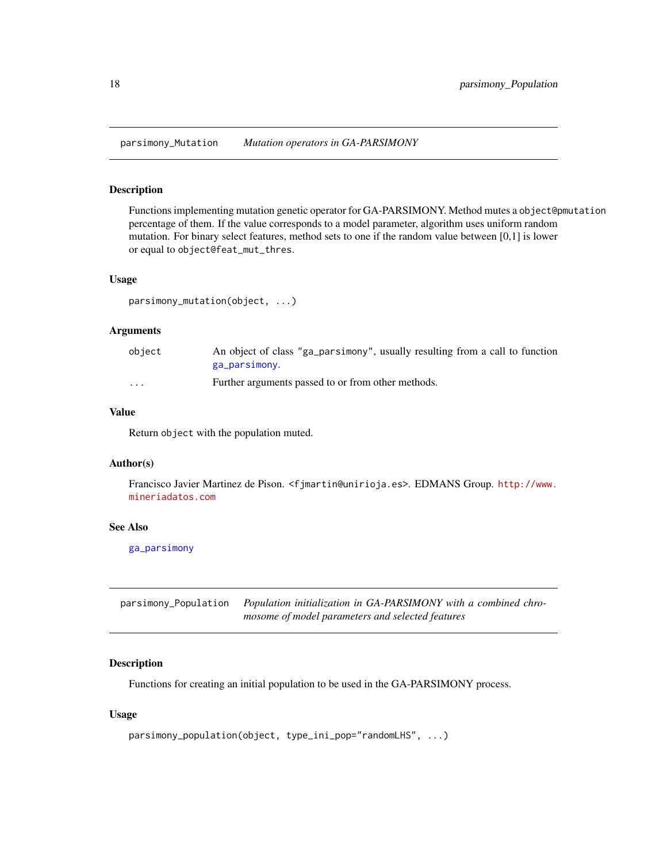<span id="page-17-4"></span><span id="page-17-0"></span>parsimony\_Mutation *Mutation operators in GA-PARSIMONY*

#### <span id="page-17-2"></span>Description

Functions implementing mutation genetic operator for GA-PARSIMONY. Method mutes a object@pmutation percentage of them. If the value corresponds to a model parameter, algorithm uses uniform random mutation. For binary select features, method sets to one if the random value between [0,1] is lower or equal to object@feat\_mut\_thres.

#### Usage

```
parsimony_mutation(object, ...)
```
#### Arguments

| object                  | An object of class "ga_parsimony", usually resulting from a call to function |
|-------------------------|------------------------------------------------------------------------------|
|                         | ga_parsimony.                                                                |
| $\cdot$ $\cdot$ $\cdot$ | Further arguments passed to or from other methods.                           |

# Value

Return object with the population muted.

#### Author(s)

Francisco Javier Martinez de Pison. <fjmartin@unirioja.es>. EDMANS Group. [http://www.](http://www.mineriadatos.com) [mineriadatos.com](http://www.mineriadatos.com)

#### See Also

[ga\\_parsimony](#page-2-1)

<span id="page-17-3"></span>parsimony\_Population *Population initialization in GA-PARSIMONY with a combined chromosome of model parameters and selected features*

# <span id="page-17-1"></span>Description

Functions for creating an initial population to be used in the GA-PARSIMONY process.

# Usage

```
parsimony_population(object, type_ini_pop="randomLHS", ...)
```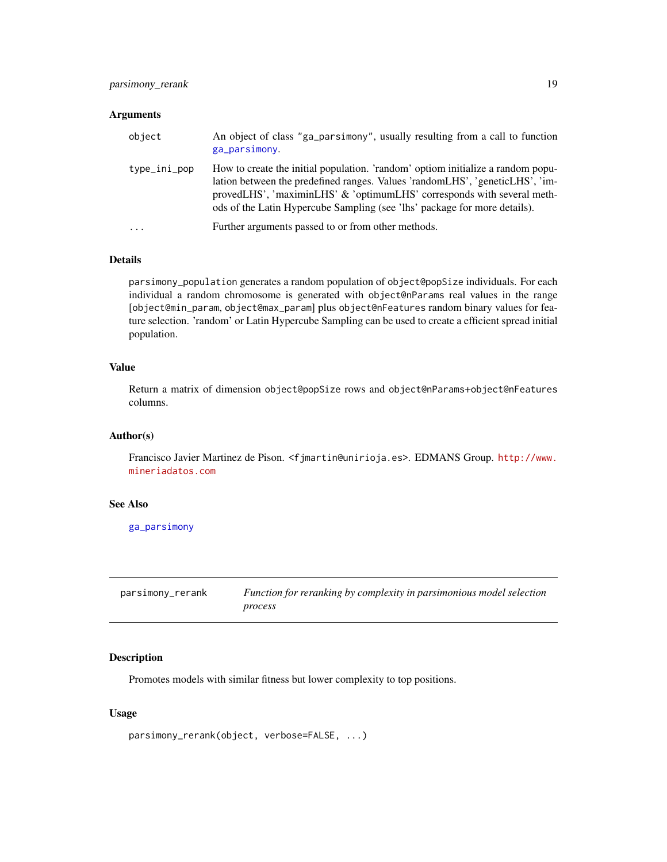#### <span id="page-18-0"></span>Arguments

| object       | An object of class "ga_parsimony", usually resulting from a call to function<br>ga_parsimony.                                                                                                                                                                                                                          |
|--------------|------------------------------------------------------------------------------------------------------------------------------------------------------------------------------------------------------------------------------------------------------------------------------------------------------------------------|
| type_ini_pop | How to create the initial population. 'random' optiom initialize a random popu-<br>lation between the predefined ranges. Values 'randomLHS', 'geneticLHS', 'im-<br>provedLHS', 'maximinLHS' & 'optimumLHS' corresponds with several meth-<br>ods of the Latin Hypercube Sampling (see 'lhs' package for more details). |
| $\ddotsc$    | Further arguments passed to or from other methods.                                                                                                                                                                                                                                                                     |

# Details

parsimony\_population generates a random population of object@popSize individuals. For each individual a random chromosome is generated with object@nParams real values in the range [object@min\_param, object@max\_param] plus object@nFeatures random binary values for feature selection. 'random' or Latin Hypercube Sampling can be used to create a efficient spread initial population.

#### Value

Return a matrix of dimension object@popSize rows and object@nParams+object@nFeatures columns.

#### Author(s)

Francisco Javier Martinez de Pison. <fjmartin@unirioja.es>. EDMANS Group. [http://www.](http://www.mineriadatos.com) [mineriadatos.com](http://www.mineriadatos.com)

# See Also

[ga\\_parsimony](#page-2-1)

<span id="page-18-1"></span>

| parsimony_rerank | Function for reranking by complexity in parsimonious model selection |
|------------------|----------------------------------------------------------------------|
|                  | process                                                              |

# Description

Promotes models with similar fitness but lower complexity to top positions.

# Usage

```
parsimony_rerank(object, verbose=FALSE, ...)
```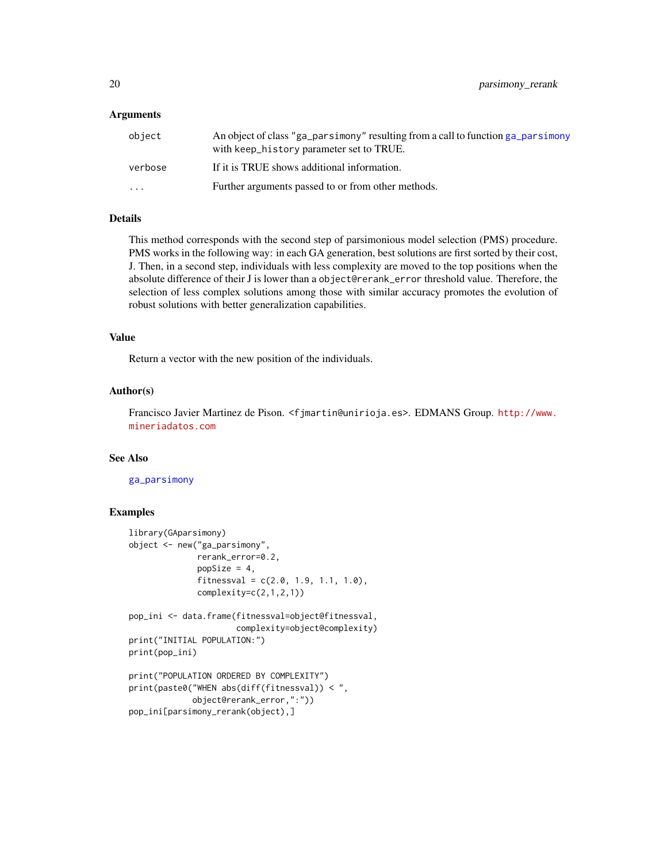#### Arguments

| object                  | An object of class "ga_parsimony" resulting from a call to function ga_parsimony<br>with keep_history parameter set to TRUE. |
|-------------------------|------------------------------------------------------------------------------------------------------------------------------|
| verbose                 | If it is TRUE shows additional information.                                                                                  |
| $\cdot$ $\cdot$ $\cdot$ | Further arguments passed to or from other methods.                                                                           |

#### Details

This method corresponds with the second step of parsimonious model selection (PMS) procedure. PMS works in the following way: in each GA generation, best solutions are first sorted by their cost, J. Then, in a second step, individuals with less complexity are moved to the top positions when the absolute difference of their J is lower than a object@rerank\_error threshold value. Therefore, the selection of less complex solutions among those with similar accuracy promotes the evolution of robust solutions with better generalization capabilities.

#### Value

Return a vector with the new position of the individuals.

#### Author(s)

Francisco Javier Martinez de Pison. <fjmartin@unirioja.es>. EDMANS Group. [http://www.](http://www.mineriadatos.com) [mineriadatos.com](http://www.mineriadatos.com)

# See Also

#### [ga\\_parsimony](#page-2-1)

#### Examples

```
library(GAparsimony)
object <- new("ga_parsimony",
             rerank_error=0.2,
              popSize = 4,
              fitnessval = c(2.0, 1.9, 1.1, 1.0),
              complexity=c(2,1,2,1))
pop_ini <- data.frame(fitnessval=object@fitnessval,
                      complexity=object@complexity)
print("INITIAL POPULATION:")
print(pop_ini)
print("POPULATION ORDERED BY COMPLEXITY")
print(paste0("WHEN abs(diff(fitnessval)) < ",
            object@rerank_error,":"))
pop_ini[parsimony_rerank(object),]
```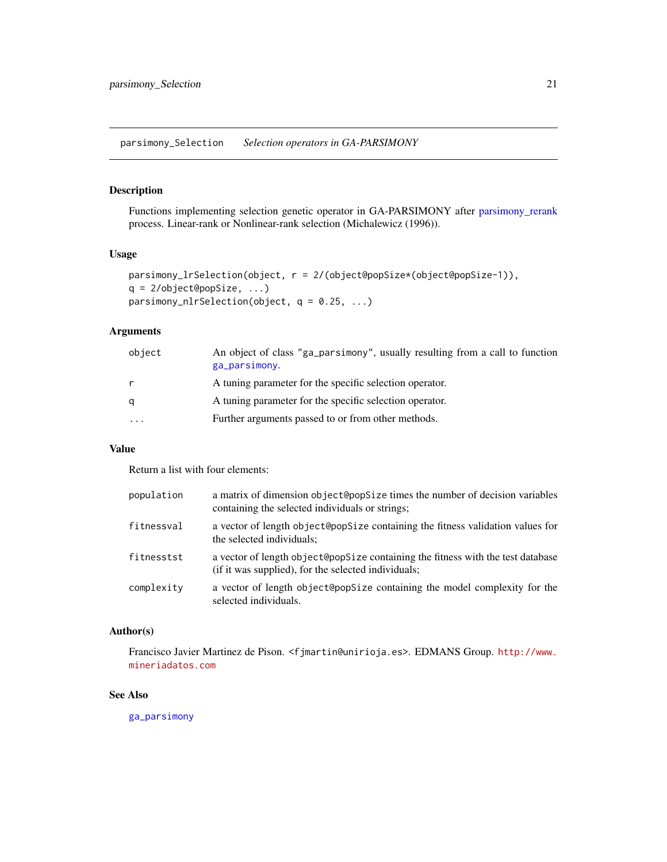<span id="page-20-2"></span><span id="page-20-0"></span>parsimony\_Selection *Selection operators in GA-PARSIMONY*

# <span id="page-20-1"></span>Description

Functions implementing selection genetic operator in GA-PARSIMONY after [parsimony\\_rerank](#page-18-1) process. Linear-rank or Nonlinear-rank selection (Michalewicz (1996)).

#### Usage

```
parsimony_lrSelection(object, r = 2/(object@popSize*(object@popSize-1)),
q = 2/object@popSize, ...)
parsimony_nlrSelection(object, q = 0.25, ...)
```
# Arguments

| object | An object of class "ga_parsimony", usually resulting from a call to function<br>ga_parsimony. |
|--------|-----------------------------------------------------------------------------------------------|
|        | A tuning parameter for the specific selection operator.                                       |
| q      | A tuning parameter for the specific selection operator.                                       |
| .      | Further arguments passed to or from other methods.                                            |

# Value

Return a list with four elements:

| population | a matrix of dimension object@opsize times the number of decision variables<br>containing the selected individuals or strings;          |
|------------|----------------------------------------------------------------------------------------------------------------------------------------|
| fitnessval | a vector of length object@popSize containing the fitness validation values for<br>the selected individuals;                            |
| fitnesstst | a vector of length object@popSize containing the fitness with the test database<br>(if it was supplied), for the selected individuals; |
| complexity | a vector of length object@popSize containing the model complexity for the<br>selected individuals.                                     |

# Author(s)

Francisco Javier Martinez de Pison. <fjmartin@unirioja.es>. EDMANS Group. [http://www.](http://www.mineriadatos.com) [mineriadatos.com](http://www.mineriadatos.com)

# See Also

[ga\\_parsimony](#page-2-1)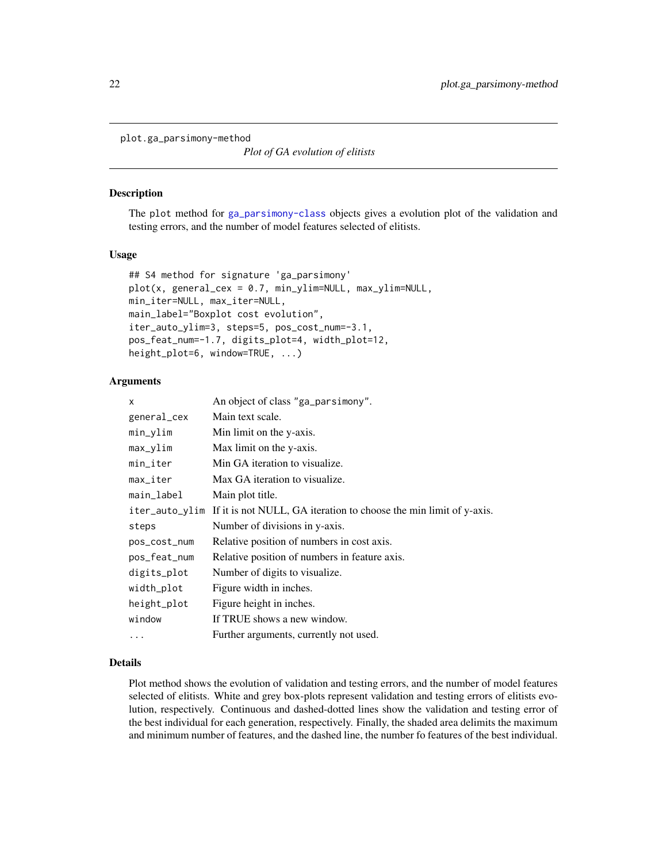<span id="page-21-0"></span>plot.ga\_parsimony-method

*Plot of GA evolution of elitists*

#### <span id="page-21-1"></span>Description

The plot method for [ga\\_parsimony-class](#page-12-1) objects gives a evolution plot of the validation and testing errors, and the number of model features selected of elitists.

#### Usage

```
## S4 method for signature 'ga_parsimony'
plot(x, general_cex = 0.7, min_ylim=NULL, max_ylim=NULL,
min_iter=NULL, max_iter=NULL,
main_label="Boxplot cost evolution",
iter_auto_ylim=3, steps=5, pos_cost_num=-3.1,
pos_feat_num=-1.7, digits_plot=4, width_plot=12,
height_plot=6, window=TRUE, ...)
```
#### Arguments

| x              | An object of class "ga_parsimony".                                 |
|----------------|--------------------------------------------------------------------|
| general_cex    | Main text scale.                                                   |
| min_ylim       | Min limit on the y-axis.                                           |
| max_ylim       | Max limit on the y-axis.                                           |
| min_iter       | Min GA iteration to visualize.                                     |
| max_iter       | Max GA iteration to visualize.                                     |
| main_label     | Main plot title.                                                   |
| iter_auto_ylim | If it is not NULL, GA iteration to choose the min limit of y-axis. |
| steps          | Number of divisions in y-axis.                                     |
| pos_cost_num   | Relative position of numbers in cost axis.                         |
| pos_feat_num   | Relative position of numbers in feature axis.                      |
| digits_plot    | Number of digits to visualize.                                     |
| width_plot     | Figure width in inches.                                            |
| height_plot    | Figure height in inches.                                           |
| window         | If TRUE shows a new window.                                        |
| $\cdots$       | Further arguments, currently not used.                             |

# Details

Plot method shows the evolution of validation and testing errors, and the number of model features selected of elitists. White and grey box-plots represent validation and testing errors of elitists evolution, respectively. Continuous and dashed-dotted lines show the validation and testing error of the best individual for each generation, respectively. Finally, the shaded area delimits the maximum and minimum number of features, and the dashed line, the number fo features of the best individual.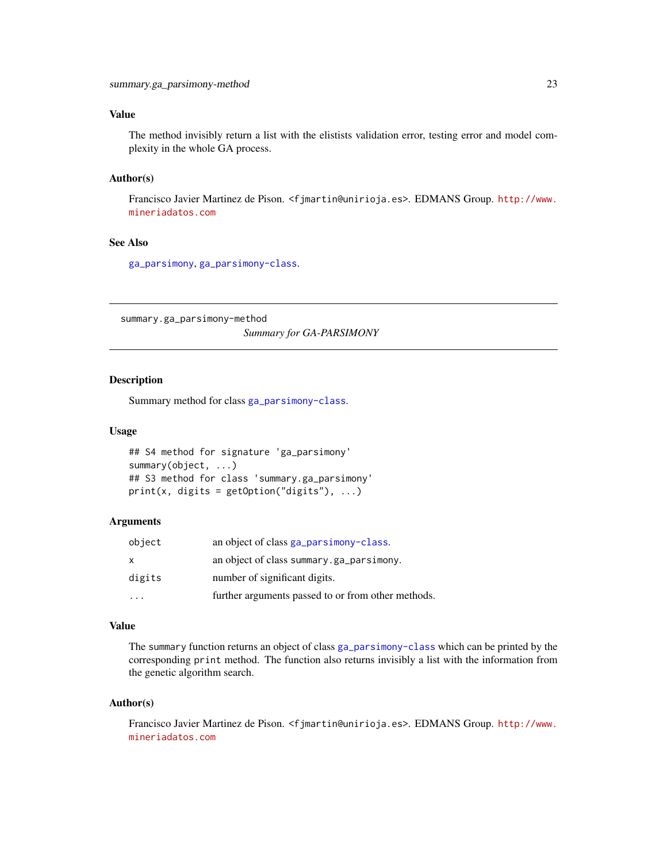# <span id="page-22-0"></span>Value

The method invisibly return a list with the elistists validation error, testing error and model complexity in the whole GA process.

# Author(s)

Francisco Javier Martinez de Pison. <fjmartin@unirioja.es>. EDMANS Group. [http://www.](http://www.mineriadatos.com) [mineriadatos.com](http://www.mineriadatos.com)

# See Also

[ga\\_parsimony](#page-2-1), [ga\\_parsimony-class](#page-12-1).

summary.ga\_parsimony-method *Summary for GA-PARSIMONY*

# <span id="page-22-1"></span>Description

Summary method for class [ga\\_parsimony-class](#page-12-1).

#### Usage

```
## S4 method for signature 'ga_parsimony'
summary(object, ...)
## S3 method for class 'summary.ga_parsimony'
print(x, \text{ digits} = getOption("digits"), ...)
```
# Arguments

| object | an object of class ga_parsimony-class.             |
|--------|----------------------------------------------------|
| X      | an object of class summary.ga_parsimony.           |
| digits | number of significant digits.                      |
|        | further arguments passed to or from other methods. |

#### Value

The summary function returns an object of class [ga\\_parsimony-class](#page-12-1) which can be printed by the corresponding print method. The function also returns invisibly a list with the information from the genetic algorithm search.

#### Author(s)

Francisco Javier Martinez de Pison. <fjmartin@unirioja.es>. EDMANS Group. [http://www.](http://www.mineriadatos.com) [mineriadatos.com](http://www.mineriadatos.com)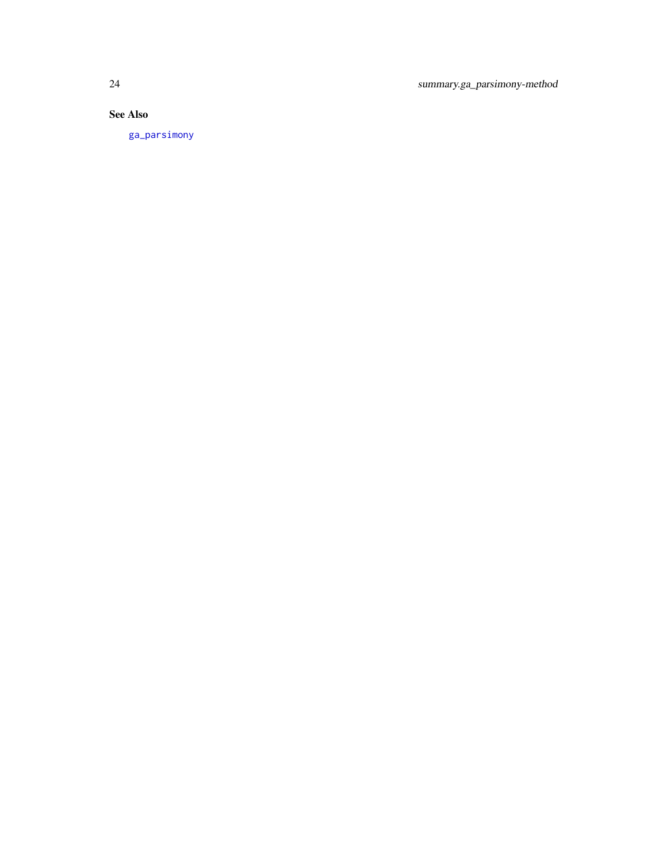<span id="page-23-0"></span>24 summary.ga\_parsimony-method

# See Also

[ga\\_parsimony](#page-2-1)